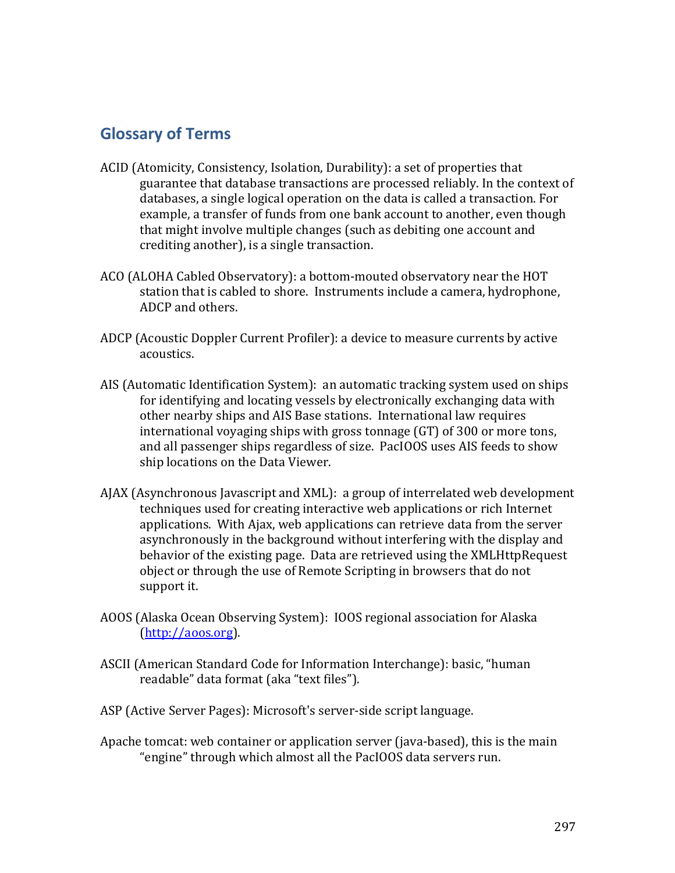## **Glossary of Terms**

- ACID (Atomicity, Consistency, Isolation, Durability): a set of properties that guarantee that database transactions are processed reliably. In the context of databases, a single logical operation on the data is called a transaction. For example, a transfer of funds from one bank account to another, even though that might involve multiple changes (such as debiting one account and crediting another), is a single transaction.
- ACO (ALOHA Cabled Observatory): a bottom-mouted observatory near the HOT station that is cabled to shore. Instruments include a camera, hydrophone, ADCP and others.
- ADCP (Acoustic Doppler Current Profiler): a device to measure currents by active acoustics.
- AIS (Automatic Identification System): an automatic tracking system used on ships for identifying and locating vessels by electronically exchanging data with other nearby ships and AIS Base stations. International law requires international voyaging ships with gross tonnage  $(GT)$  of 300 or more tons, and all passenger ships regardless of size. PacIOOS uses AIS feeds to show ship locations on the Data Viewer.
- AJAX (Asynchronous Javascript and XML): a group of interrelated web development techniques used for creating interactive web applications or rich Internet applications. With Ajax, web applications can retrieve data from the server asynchronously in the background without interfering with the display and behavior of the existing page. Data are retrieved using the XMLHttpRequest object or through the use of Remote Scripting in browsers that do not support it.
- AOOS (Alaska Ocean Observing System): IOOS regional association for Alaska (http://aoos.org).
- ASCII (American Standard Code for Information Interchange): basic, "human readable" data format (aka "text files").
- ASP (Active Server Pages): Microsoft's server-side script language.
- Apache tomcat: web container or application server (java-based), this is the main "engine" through which almost all the PacIOOS data servers run.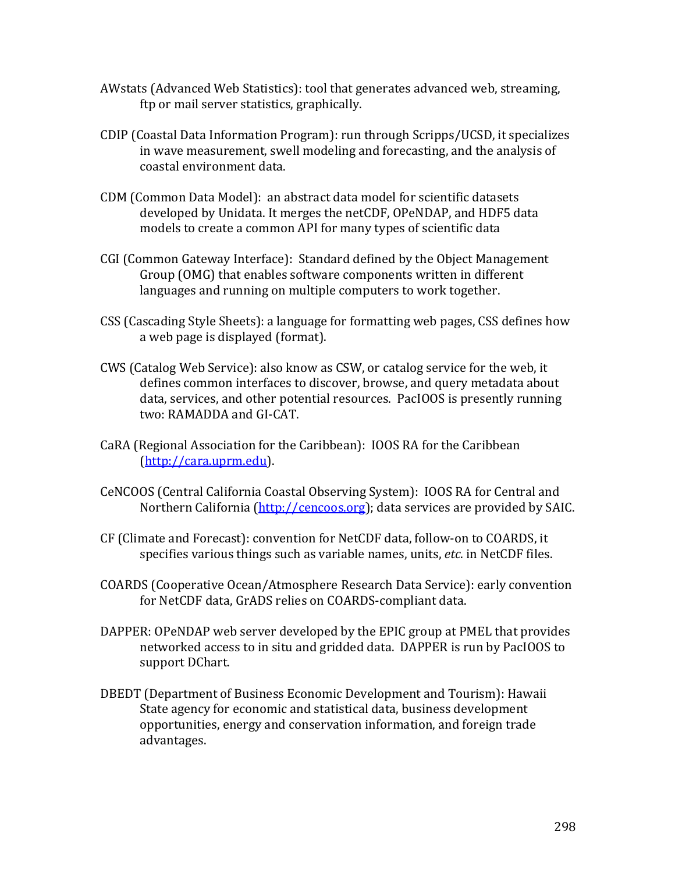- AWstats (Advanced Web Statistics): tool that generates advanced web, streaming, ftp or mail server statistics, graphically.
- CDIP (Coastal Data Information Program): run through Scripps/UCSD, it specializes in wave measurement, swell modeling and forecasting, and the analysis of coastal environment data.
- CDM (Common Data Model): an abstract data model for scientific datasets developed by Unidata. It merges the netCDF, OPeNDAP, and HDF5 data models to create a common API for many types of scientific data
- CGI (Common Gateway Interface): Standard defined by the Object Management Group (OMG) that enables software components written in different languages and running on multiple computers to work together.
- CSS (Cascading Style Sheets): a language for formatting web pages, CSS defines how a web page is displayed (format).
- CWS (Catalog Web Service): also know as CSW, or catalog service for the web, it defines common interfaces to discover, browse, and query metadata about data, services, and other potential resources. PacIOOS is presently running two: RAMADDA and GI-CAT.
- CaRA (Regional Association for the Caribbean): IOOS RA for the Caribbean (http://cara.uprm.edu).
- CeNCOOS (Central California Coastal Observing System): IOOS RA for Central and Northern California (http://cencoos.org); data services are provided by SAIC.
- CF (Climate and Forecast): convention for NetCDF data, follow-on to COARDS, it specifies various things such as variable names, units, *etc*. in NetCDF files.
- COARDS (Cooperative Ocean/Atmosphere Research Data Service): early convention for NetCDF data, GrADS relies on COARDS-compliant data.
- DAPPER: OPeNDAP web server developed by the EPIC group at PMEL that provides networked access to in situ and gridded data. DAPPER is run by PacIOOS to support DChart.
- DBEDT (Department of Business Economic Development and Tourism): Hawaii State agency for economic and statistical data, business development opportunities, energy and conservation information, and foreign trade advantages.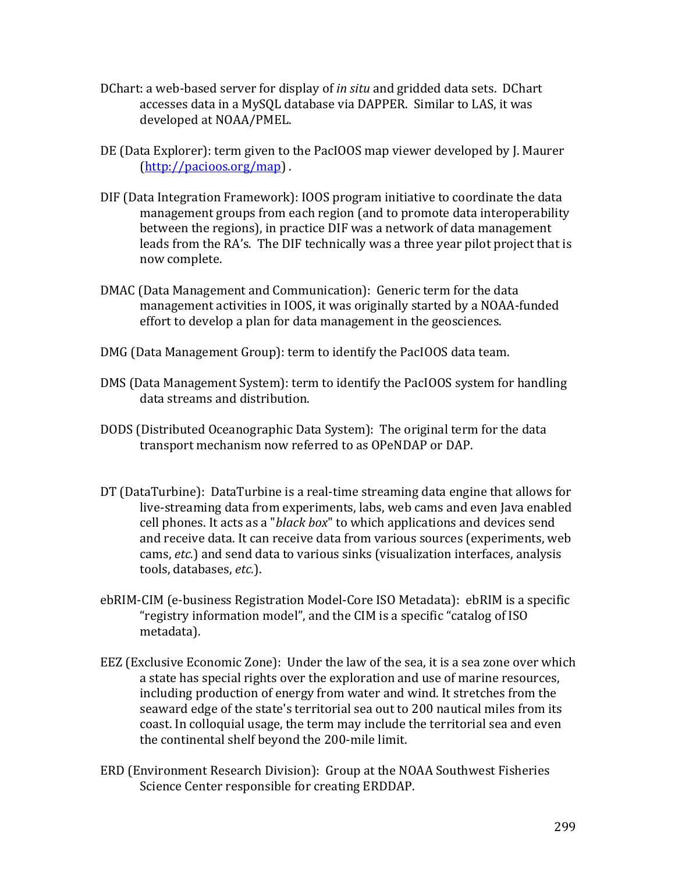- DChart: a web-based server for display of *in situ* and gridded data sets. DChart accesses data in a MySQL database via DAPPER. Similar to LAS, it was developed at NOAA/PMEL.
- DE (Data Explorer): term given to the PacIOOS map viewer developed by J. Maurer (http://pacioos.org/map).
- DIF (Data Integration Framework): IOOS program initiative to coordinate the data management groups from each region (and to promote data interoperability between the regions), in practice DIF was a network of data management leads from the RA's. The DIF technically was a three year pilot project that is now complete.
- DMAC (Data Management and Communication): Generic term for the data management activities in IOOS, it was originally started by a NOAA-funded effort to develop a plan for data management in the geosciences.
- DMG (Data Management Group): term to identify the PacIOOS data team.
- DMS (Data Management System): term to identify the PacIOOS system for handling data streams and distribution.
- DODS (Distributed Oceanographic Data System): The original term for the data transport mechanism now referred to as OPeNDAP or DAP.
- DT (DataTurbine): DataTurbine is a real-time streaming data engine that allows for live-streaming data from experiments, labs, web cams and even Java enabled cell phones. It acts as a "*black box*" to which applications and devices send and receive data. It can receive data from various sources (experiments, web cams, *etc.*) and send data to various sinks (visualization interfaces, analysis tools, databases, *etc.*).
- ebRIM-CIM (e-business Registration Model-Core ISO Metadata): ebRIM is a specific "registry information model", and the CIM is a specific "catalog of ISO metadata).
- EEZ (Exclusive Economic Zone): Under the law of the sea, it is a sea zone over which a state has special rights over the exploration and use of marine resources, including production of energy from water and wind. It stretches from the seaward edge of the state's territorial sea out to 200 nautical miles from its coast. In colloquial usage, the term may include the territorial sea and even the continental shelf beyond the 200-mile limit.
- ERD (Environment Research Division): Group at the NOAA Southwest Fisheries Science Center responsible for creating ERDDAP.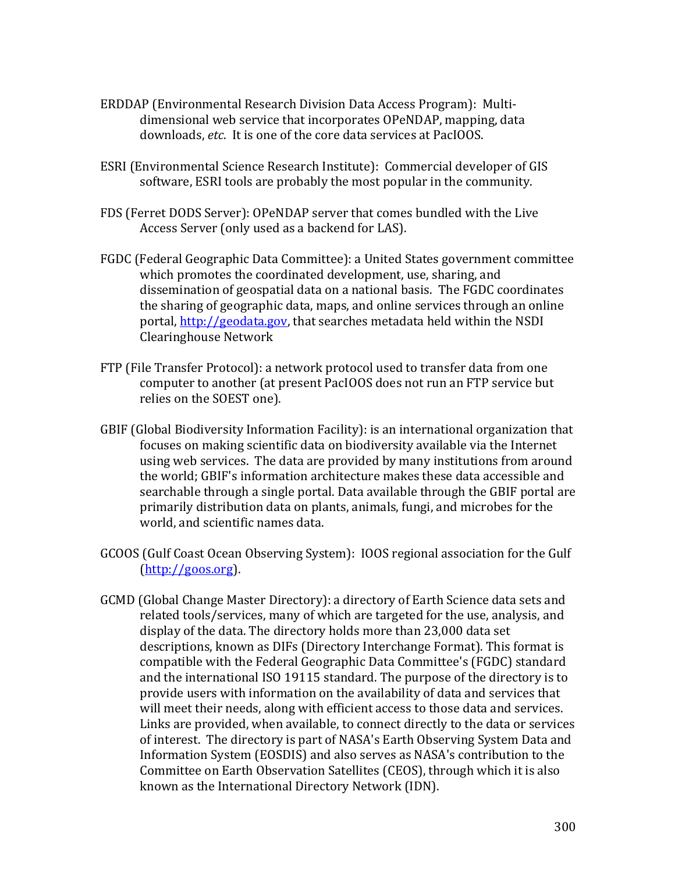- ERDDAP (Environmental Research Division Data Access Program): Multidimensional web service that incorporates OPeNDAP, mapping, data downloads, *etc.* It is one of the core data services at PacIOOS.
- ESRI (Environmental Science Research Institute): Commercial developer of GIS software, ESRI tools are probably the most popular in the community.
- FDS (Ferret DODS Server): OPeNDAP server that comes bundled with the Live Access Server (only used as a backend for LAS).
- FGDC (Federal Geographic Data Committee): a United States government committee which promotes the coordinated development, use, sharing, and dissemination of geospatial data on a national basis. The FGDC coordinates the sharing of geographic data, maps, and online services through an online portal, http://geodata.gov, that searches metadata held within the NSDI Clearinghouse Network
- FTP (File Transfer Protocol): a network protocol used to transfer data from one computer to another (at present PacIOOS does not run an FTP service but relies on the SOEST one).
- GBIF (Global Biodiversity Information Facility): is an international organization that focuses on making scientific data on biodiversity available via the Internet using web services. The data are provided by many institutions from around the world; GBIF's information architecture makes these data accessible and searchable through a single portal. Data available through the GBIF portal are primarily distribution data on plants, animals, fungi, and microbes for the world, and scientific names data.
- GCOOS (Gulf Coast Ocean Observing System): IOOS regional association for the Gulf (http://goos.org).
- GCMD (Global Change Master Directory): a directory of Earth Science data sets and related tools/services, many of which are targeted for the use, analysis, and display of the data. The directory holds more than 23,000 data set descriptions, known as DIFs (Directory Interchange Format). This format is compatible with the Federal Geographic Data Committee's (FGDC) standard and the international ISO 19115 standard. The purpose of the directory is to provide users with information on the availability of data and services that will meet their needs, along with efficient access to those data and services. Links are provided, when available, to connect directly to the data or services of interest. The directory is part of NASA's Earth Observing System Data and Information System (EOSDIS) and also serves as NASA's contribution to the Committee on Earth Observation Satellites (CEOS), through which it is also known as the International Directory Network (IDN).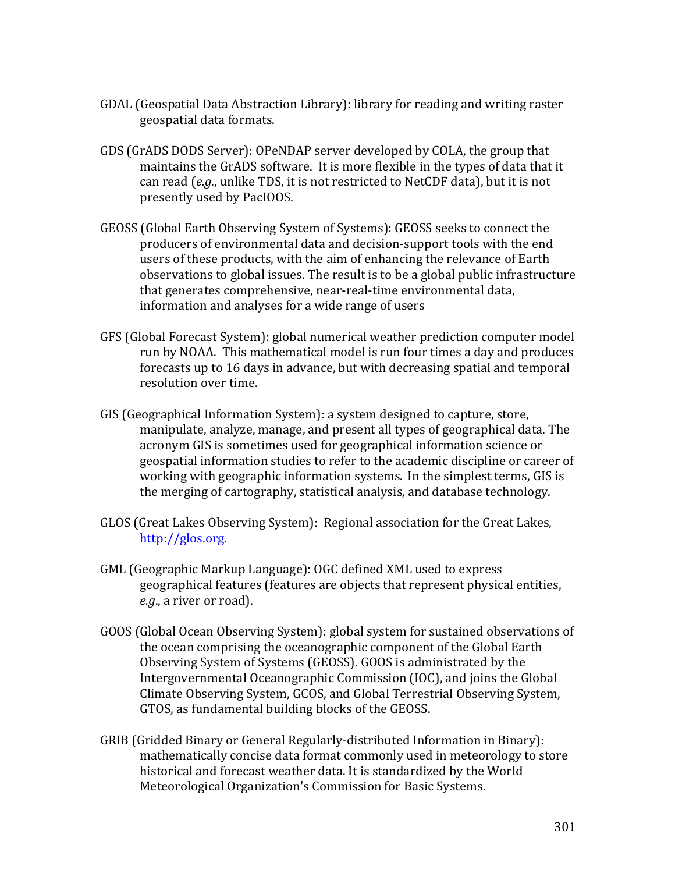- GDAL (Geospatial Data Abstraction Library): library for reading and writing raster geospatial data formats.
- GDS (GrADS DODS Server): OPeNDAP server developed by COLA, the group that maintains the GrADS software. It is more flexible in the types of data that it can read (e.g., unlike TDS, it is not restricted to NetCDF data), but it is not presently used by PacIOOS.
- GEOSS (Global Earth Observing System of Systems): GEOSS seeks to connect the producers of environmental data and decision-support tools with the end users of these products, with the aim of enhancing the relevance of Earth observations to global issues. The result is to be a global public infrastructure that generates comprehensive, near-real-time environmental data, information and analyses for a wide range of users
- GFS (Global Forecast System): global numerical weather prediction computer model run by NOAA. This mathematical model is run four times a day and produces forecasts up to 16 days in advance, but with decreasing spatial and temporal resolution over time.
- GIS (Geographical Information System): a system designed to capture, store, manipulate, analyze, manage, and present all types of geographical data. The acronym GIS is sometimes used for geographical information science or geospatial information studies to refer to the academic discipline or career of working with geographic information systems. In the simplest terms, GIS is the merging of cartography, statistical analysis, and database technology.
- GLOS (Great Lakes Observing System): Regional association for the Great Lakes, http://glos.org.
- GML (Geographic Markup Language): OGC defined XML used to express geographical features (features are objects that represent physical entities, *e.g.*, a river or road).
- GOOS (Global Ocean Observing System): global system for sustained observations of the ocean comprising the oceanographic component of the Global Earth Observing System of Systems (GEOSS). GOOS is administrated by the Intergovernmental Oceanographic Commission (IOC), and joins the Global Climate Observing System, GCOS, and Global Terrestrial Observing System, GTOS, as fundamental building blocks of the GEOSS.
- GRIB (Gridded Binary or General Regularly-distributed Information in Binary): mathematically concise data format commonly used in meteorology to store historical and forecast weather data. It is standardized by the World Meteorological Organization's Commission for Basic Systems.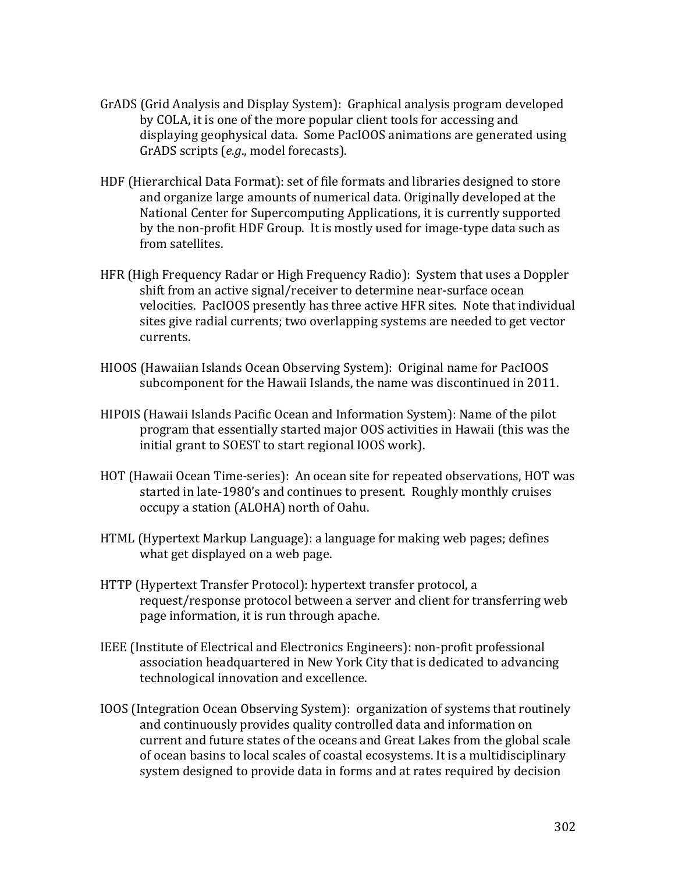- GrADS (Grid Analysis and Display System): Graphical analysis program developed by COLA, it is one of the more popular client tools for accessing and displaying geophysical data. Some PacIOOS animations are generated using GrADS scripts (e.g., model forecasts).
- HDF (Hierarchical Data Format): set of file formats and libraries designed to store and organize large amounts of numerical data. Originally developed at the National Center for Supercomputing Applications, it is currently supported by the non-profit HDF Group. It is mostly used for image-type data such as from satellites.
- HFR (High Frequency Radar or High Frequency Radio): System that uses a Doppler shift from an active signal/receiver to determine near-surface ocean velocities. PacIOOS presently has three active HFR sites. Note that individual sites give radial currents; two overlapping systems are needed to get vector currents.
- HIOOS (Hawaiian Islands Ocean Observing System): Original name for PacIOOS subcomponent for the Hawaii Islands, the name was discontinued in 2011.
- HIPOIS (Hawaii Islands Pacific Ocean and Information System): Name of the pilot program that essentially started major OOS activities in Hawaii (this was the initial grant to SOEST to start regional IOOS work).
- HOT (Hawaii Ocean Time-series): An ocean site for repeated observations, HOT was started in late-1980's and continues to present. Roughly monthly cruises occupy a station (ALOHA) north of Oahu.
- HTML (Hypertext Markup Language): a language for making web pages; defines what get displayed on a web page.
- HTTP (Hypertext Transfer Protocol): hypertext transfer protocol, a request/response protocol between a server and client for transferring web page information, it is run through apache.
- IEEE (Institute of Electrical and Electronics Engineers): non-profit professional association headquartered in New York City that is dedicated to advancing technological innovation and excellence.
- IOOS (Integration Ocean Observing System): organization of systems that routinely and continuously provides quality controlled data and information on current and future states of the oceans and Great Lakes from the global scale of ocean basins to local scales of coastal ecosystems. It is a multidisciplinary system designed to provide data in forms and at rates required by decision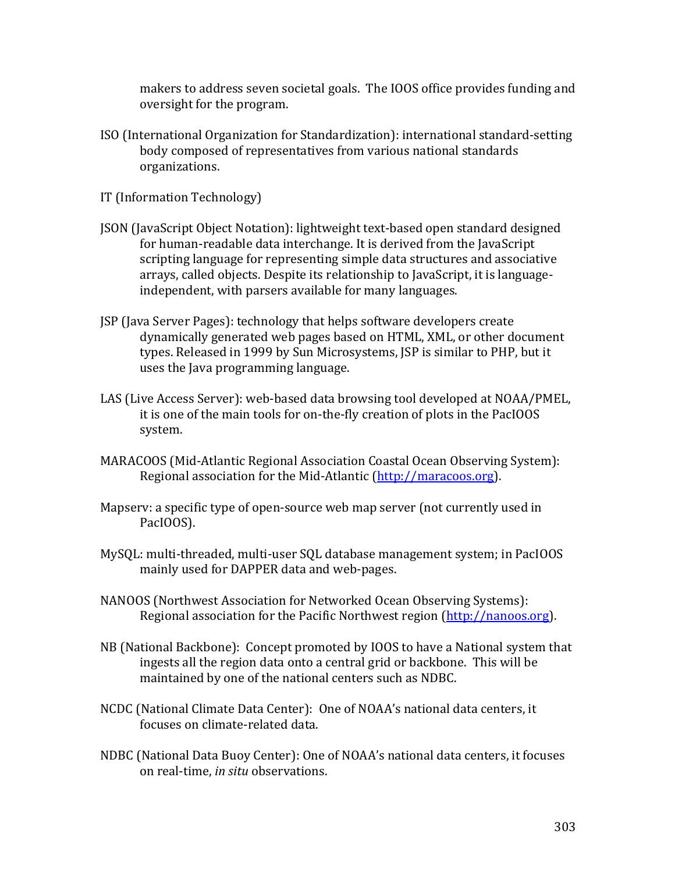makers to address seven societal goals. The IOOS office provides funding and oversight for the program.

- ISO (International Organization for Standardization): international standard-setting body composed of representatives from various national standards organizations.
- IT (Information Technology)
- JSON (JavaScript Object Notation): lightweight text-based open standard designed for human-readable data interchange. It is derived from the JavaScript scripting language for representing simple data structures and associative arrays, called objects. Despite its relationship to JavaScript, it is languageindependent, with parsers available for many languages.
- JSP (Java Server Pages): technology that helps software developers create dynamically generated web pages based on HTML, XML, or other document types. Released in 1999 by Sun Microsystems, JSP is similar to PHP, but it uses the Java programming language.
- LAS (Live Access Server): web-based data browsing tool developed at NOAA/PMEL, it is one of the main tools for on-the-fly creation of plots in the PacIOOS system.
- MARACOOS (Mid-Atlantic Regional Association Coastal Ocean Observing System): Regional association for the Mid-Atlantic (http://maracoos.org).
- Mapserv: a specific type of open-source web map server (not currently used in PacIOOS).
- MySQL: multi-threaded, multi-user SQL database management system; in PacIOOS mainly used for DAPPER data and web-pages.
- NANOOS (Northwest Association for Networked Ocean Observing Systems): Regional association for the Pacific Northwest region (http://nanoos.org).
- NB (National Backbone): Concept promoted by IOOS to have a National system that ingests all the region data onto a central grid or backbone. This will be maintained by one of the national centers such as NDBC.
- NCDC (National Climate Data Center): One of NOAA's national data centers, it focuses on climate-related data.
- NDBC (National Data Buoy Center): One of NOAA's national data centers, it focuses on real-time, *in situ* observations.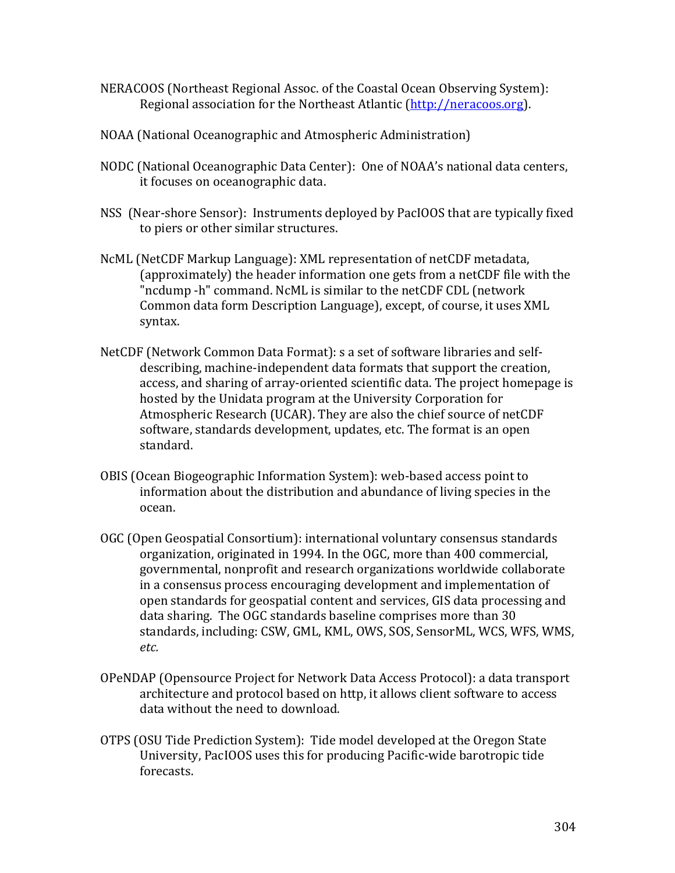- NERACOOS (Northeast Regional Assoc. of the Coastal Ocean Observing System): Regional association for the Northeast Atlantic (http://neracoos.org).
- NOAA (National Oceanographic and Atmospheric Administration)
- NODC (National Oceanographic Data Center): One of NOAA's national data centers, it focuses on oceanographic data.
- NSS (Near-shore Sensor): Instruments deployed by PacIOOS that are typically fixed to piers or other similar structures.
- NcML (NetCDF Markup Language): XML representation of netCDF metadata, (approximately) the header information one gets from a netCDF file with the "ncdump -h" command. NcML is similar to the netCDF CDL (network Common data form Description Language), except, of course, it uses XML syntax.
- NetCDF (Network Common Data Format): s a set of software libraries and selfdescribing, machine-independent data formats that support the creation, access, and sharing of array-oriented scientific data. The project homepage is hosted by the Unidata program at the University Corporation for Atmospheric Research (UCAR). They are also the chief source of netCDF software, standards development, updates, etc. The format is an open standard.
- OBIS (Ocean Biogeographic Information System): web-based access point to information about the distribution and abundance of living species in the ocean.
- OGC (Open Geospatial Consortium): international voluntary consensus standards organization, originated in 1994. In the OGC, more than 400 commercial, governmental, nonprofit and research organizations worldwide collaborate in a consensus process encouraging development and implementation of open standards for geospatial content and services, GIS data processing and data sharing. The OGC standards baseline comprises more than 30 standards, including: CSW, GML, KML, OWS, SOS, SensorML, WCS, WFS, WMS, *etc.*
- OPeNDAP (Opensource Project for Network Data Access Protocol): a data transport architecture and protocol based on http, it allows client software to access data without the need to download.
- OTPS (OSU Tide Prediction System): Tide model developed at the Oregon State University, PacIOOS uses this for producing Pacific-wide barotropic tide forecasts.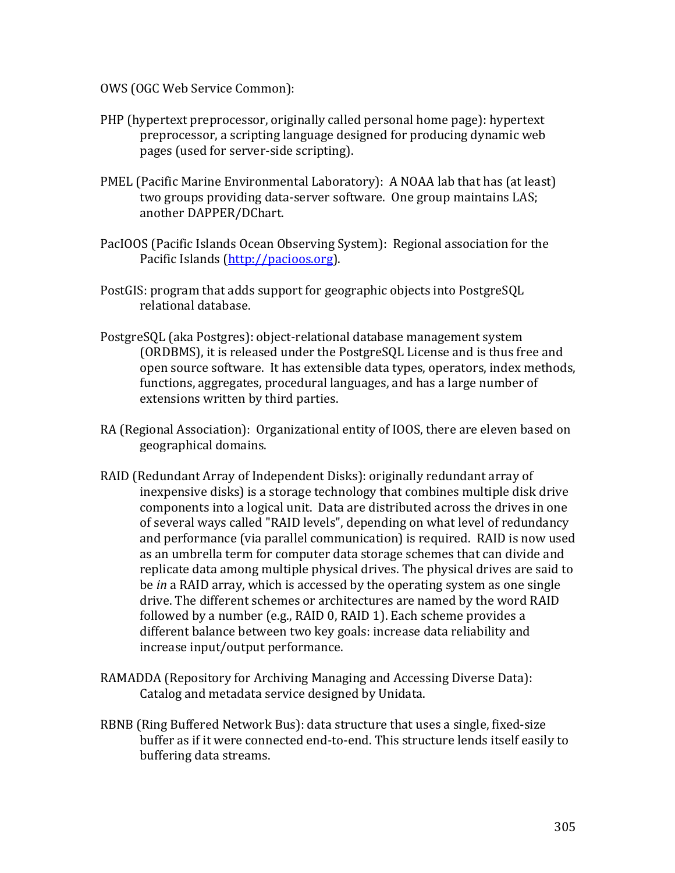OWS (OGC Web Service Common):

- PHP (hypertext preprocessor, originally called personal home page): hypertext preprocessor, a scripting language designed for producing dynamic web pages (used for server-side scripting).
- PMEL (Pacific Marine Environmental Laboratory): A NOAA lab that has (at least) two groups providing data-server software. One group maintains LAS; another DAPPER/DChart.
- PacIOOS (Pacific Islands Ocean Observing System): Regional association for the Pacific Islands (http://pacioos.org).
- PostGIS: program that adds support for geographic objects into PostgreSQL relational database.
- PostgreSQL (aka Postgres): object-relational database management system (ORDBMS), it is released under the PostgreSQL License and is thus free and open source software. It has extensible data types, operators, index methods, functions, aggregates, procedural languages, and has a large number of extensions written by third parties.
- RA (Regional Association): Organizational entity of IOOS, there are eleven based on geographical domains.
- RAID (Redundant Array of Independent Disks): originally redundant array of inexpensive disks) is a storage technology that combines multiple disk drive components into a logical unit. Data are distributed across the drives in one of several ways called "RAID levels", depending on what level of redundancy and performance (via parallel communication) is required. RAID is now used as an umbrella term for computer data storage schemes that can divide and replicate data among multiple physical drives. The physical drives are said to be *in* a RAID array, which is accessed by the operating system as one single drive. The different schemes or architectures are named by the word RAID followed by a number (e.g., RAID 0, RAID 1). Each scheme provides a different balance between two key goals: increase data reliability and increase input/output performance.
- RAMADDA (Repository for Archiving Managing and Accessing Diverse Data): Catalog and metadata service designed by Unidata.
- RBNB (Ring Buffered Network Bus): data structure that uses a single, fixed-size buffer as if it were connected end-to-end. This structure lends itself easily to buffering data streams.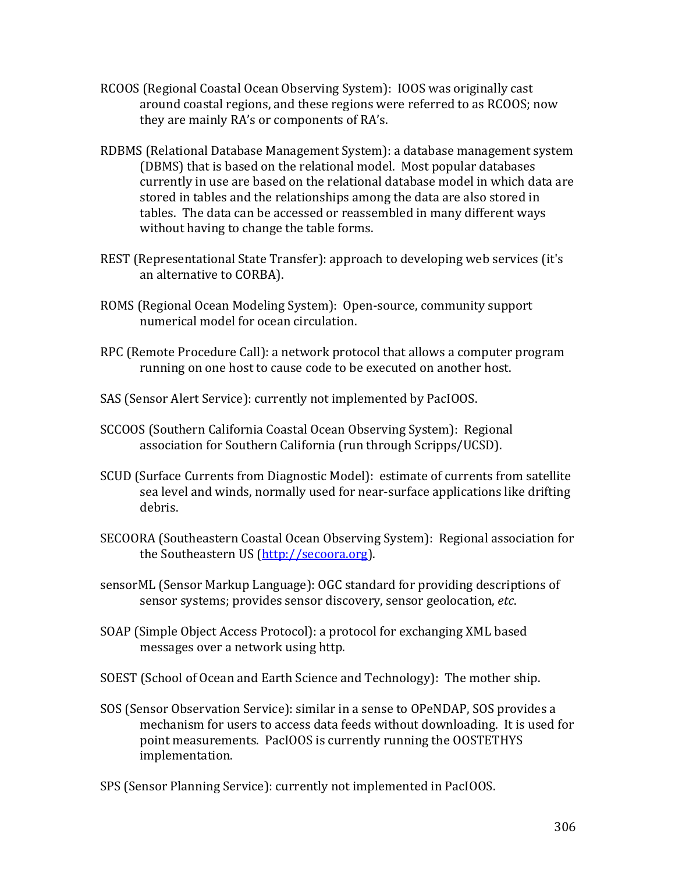- RCOOS (Regional Coastal Ocean Observing System): IOOS was originally cast around coastal regions, and these regions were referred to as RCOOS; now they are mainly RA's or components of RA's.
- RDBMS (Relational Database Management System): a database management system (DBMS) that is based on the relational model. Most popular databases currently in use are based on the relational database model in which data are stored in tables and the relationships among the data are also stored in tables. The data can be accessed or reassembled in many different ways without having to change the table forms.
- REST (Representational State Transfer): approach to developing web services (it's an alternative to CORBA).
- ROMS (Regional Ocean Modeling System): Open-source, community support numerical model for ocean circulation.
- RPC (Remote Procedure Call): a network protocol that allows a computer program running on one host to cause code to be executed on another host.
- SAS (Sensor Alert Service): currently not implemented by PacIOOS.
- SCCOOS (Southern California Coastal Ocean Observing System): Regional association for Southern California (run through Scripps/UCSD).
- SCUD (Surface Currents from Diagnostic Model): estimate of currents from satellite sea level and winds, normally used for near-surface applications like drifting debris.
- SECOORA (Southeastern Coastal Ocean Observing System): Regional association for the Southeastern US (http://secoora.org).
- sensorML (Sensor Markup Language): OGC standard for providing descriptions of sensor systems; provides sensor discovery, sensor geolocation, etc.
- SOAP (Simple Object Access Protocol): a protocol for exchanging XML based messages over a network using http.
- SOEST (School of Ocean and Earth Science and Technology): The mother ship.
- SOS (Sensor Observation Service): similar in a sense to OPeNDAP, SOS provides a mechanism for users to access data feeds without downloading. It is used for point measurements. PacIOOS is currently running the OOSTETHYS implementation.
- SPS (Sensor Planning Service): currently not implemented in PacIOOS.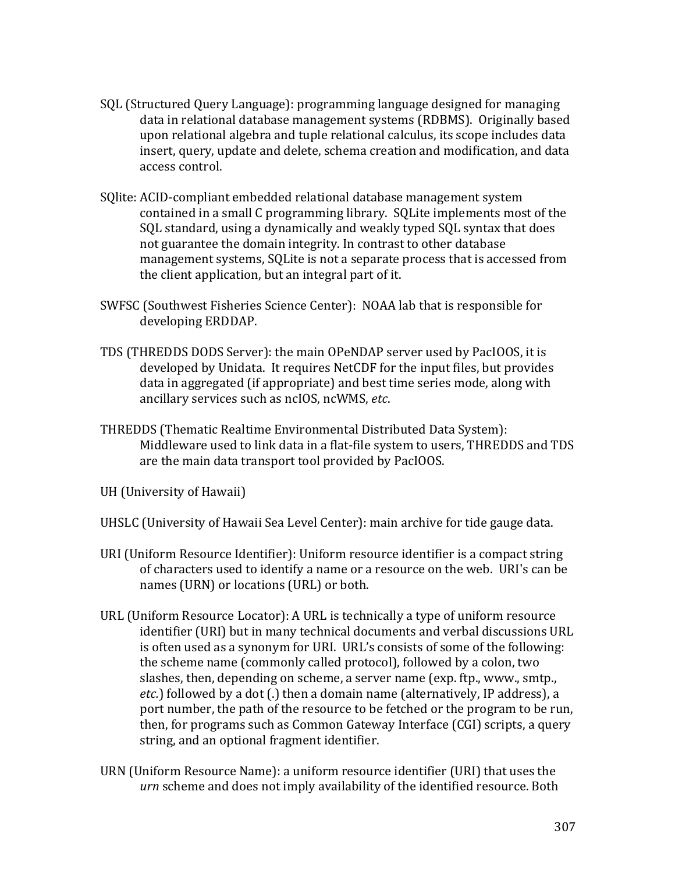- SQL (Structured Query Language): programming language designed for managing data in relational database management systems (RDBMS). Originally based upon relational algebra and tuple relational calculus, its scope includes data insert, query, update and delete, schema creation and modification, and data access control.
- SQlite: ACID-compliant embedded relational database management system contained in a small C programming library. SQLite implements most of the SQL standard, using a dynamically and weakly typed SQL syntax that does not guarantee the domain integrity. In contrast to other database management systems, SQLite is not a separate process that is accessed from the client application, but an integral part of it.
- SWFSC (Southwest Fisheries Science Center): NOAA lab that is responsible for developing ERDDAP.
- TDS (THREDDS DODS Server): the main OPeNDAP server used by PacIOOS, it is developed by Unidata. It requires NetCDF for the input files, but provides data in aggregated (if appropriate) and best time series mode, along with ancillary services such as ncIOS, ncWMS, etc.
- THREDDS (Thematic Realtime Environmental Distributed Data System): Middleware used to link data in a flat-file system to users, THREDDS and TDS are the main data transport tool provided by PacIOOS.
- UH (University of Hawaii)
- UHSLC (University of Hawaii Sea Level Center): main archive for tide gauge data.
- URI (Uniform Resource Identifier): Uniform resource identifier is a compact string of characters used to identify a name or a resource on the web. URI's can be names (URN) or locations (URL) or both.
- URL (Uniform Resource Locator): A URL is technically a type of uniform resource identifier (URI) but in many technical documents and verbal discussions URL is often used as a synonym for URI. URL's consists of some of the following: the scheme name (commonly called protocol), followed by a colon, two slashes, then, depending on scheme, a server name (exp. ftp., www., smtp., *etc.*) followed by a dot (.) then a domain name (alternatively, IP address), a port number, the path of the resource to be fetched or the program to be run, then, for programs such as Common Gateway Interface (CGI) scripts, a query string, and an optional fragment identifier.
- URN (Uniform Resource Name): a uniform resource identifier (URI) that uses the *urn* scheme and does not imply availability of the identified resource. Both